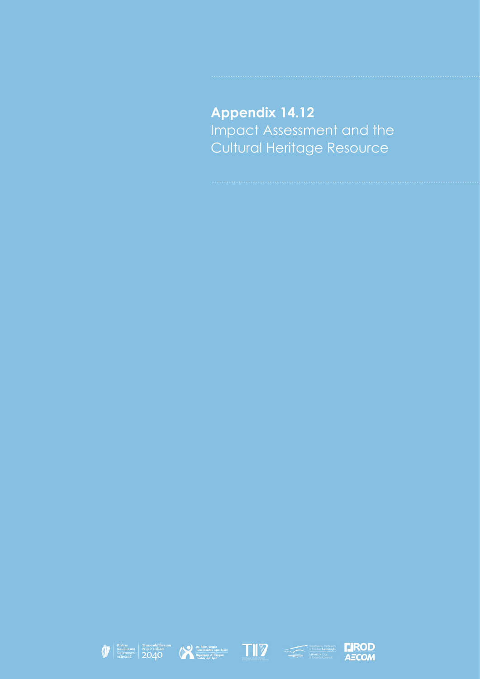**Appendix 14.12** Impact Assessment and the Cultural Heritage Resource









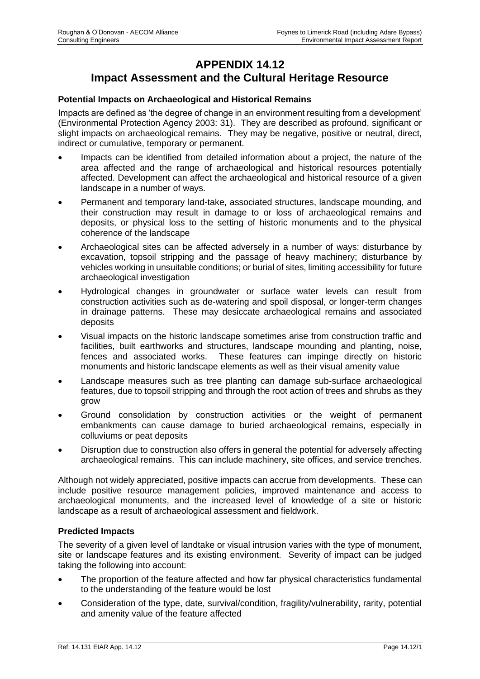## **APPENDIX 14.12 Impact Assessment and the Cultural Heritage Resource**

## **Potential Impacts on Archaeological and Historical Remains**

Impacts are defined as 'the degree of change in an environment resulting from a development' (Environmental Protection Agency 2003: 31). They are described as profound, significant or slight impacts on archaeological remains. They may be negative, positive or neutral, direct, indirect or cumulative, temporary or permanent.

- Impacts can be identified from detailed information about a project, the nature of the area affected and the range of archaeological and historical resources potentially affected. Development can affect the archaeological and historical resource of a given landscape in a number of ways.
- Permanent and temporary land-take, associated structures, landscape mounding, and their construction may result in damage to or loss of archaeological remains and deposits, or physical loss to the setting of historic monuments and to the physical coherence of the landscape
- Archaeological sites can be affected adversely in a number of ways: disturbance by excavation, topsoil stripping and the passage of heavy machinery; disturbance by vehicles working in unsuitable conditions; or burial of sites, limiting accessibility for future archaeological investigation
- Hydrological changes in groundwater or surface water levels can result from construction activities such as de-watering and spoil disposal, or longer-term changes in drainage patterns. These may desiccate archaeological remains and associated deposits
- Visual impacts on the historic landscape sometimes arise from construction traffic and facilities, built earthworks and structures, landscape mounding and planting, noise, fences and associated works. These features can impinge directly on historic monuments and historic landscape elements as well as their visual amenity value
- Landscape measures such as tree planting can damage sub-surface archaeological features, due to topsoil stripping and through the root action of trees and shrubs as they grow
- Ground consolidation by construction activities or the weight of permanent embankments can cause damage to buried archaeological remains, especially in colluviums or peat deposits
- Disruption due to construction also offers in general the potential for adversely affecting archaeological remains. This can include machinery, site offices, and service trenches.

Although not widely appreciated, positive impacts can accrue from developments. These can include positive resource management policies, improved maintenance and access to archaeological monuments, and the increased level of knowledge of a site or historic landscape as a result of archaeological assessment and fieldwork.

## **Predicted Impacts**

The severity of a given level of landtake or visual intrusion varies with the type of monument, site or landscape features and its existing environment. Severity of impact can be judged taking the following into account:

- The proportion of the feature affected and how far physical characteristics fundamental to the understanding of the feature would be lost
- Consideration of the type, date, survival/condition, fragility/vulnerability, rarity, potential and amenity value of the feature affected